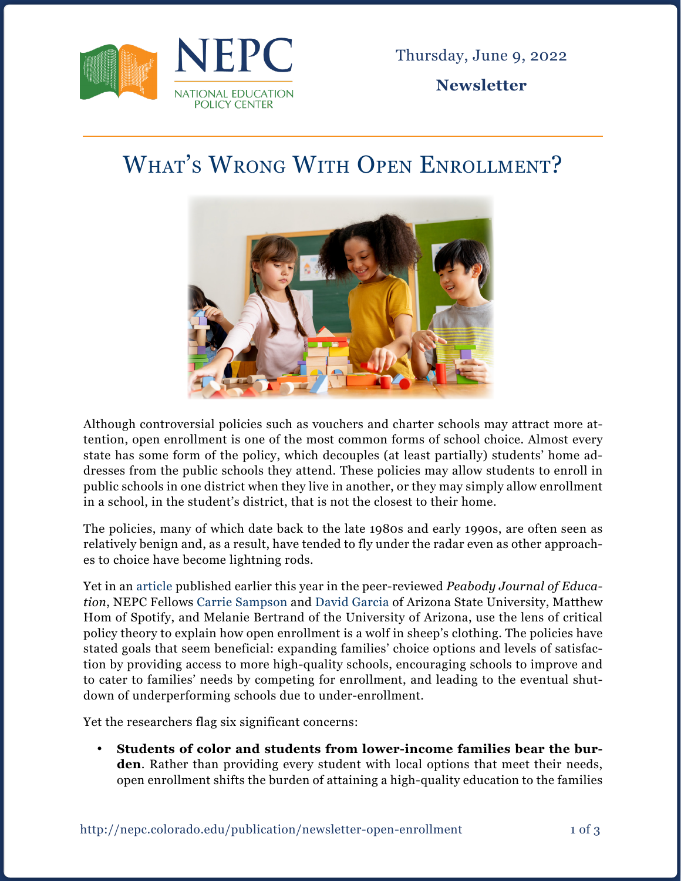

Thursday, June 9, 2022

**Newsletter**

## What's Wrong With Open Enrollment?



Although controversial policies such as vouchers and charter schools may attract more attention, open enrollment is one of the most common forms of school choice. Almost every state has some form of the policy, which decouples (at least partially) students' home addresses from the public schools they attend. These policies may allow students to enroll in public schools in one district when they live in another, or they may simply allow enrollment in a school, in the student's district, that is not the closest to their home.

The policies, many of which date back to the late 1980s and early 1990s, are often seen as relatively benign and, as a result, have tended to fly under the radar even as other approaches to choice have become lightning rods.

Yet in an [article](https://www.tandfonline.com/doi/abs/10.1080/0161956X.2022.2026721?journalCode=hpje20) published earlier this year in the peer-reviewed *Peabody Journal of Education*, NEPC Fellows [Carrie Sampson](https://nepc.colorado.edu/author/sampson-carrie) and [David Garcia](https://nepc.colorado.edu/author/garcia-david-r) of Arizona State University, Matthew Hom of Spotify, and Melanie Bertrand of the University of Arizona, use the lens of critical policy theory to explain how open enrollment is a wolf in sheep's clothing. The policies have stated goals that seem beneficial: expanding families' choice options and levels of satisfaction by providing access to more high-quality schools, encouraging schools to improve and to cater to families' needs by competing for enrollment, and leading to the eventual shutdown of underperforming schools due to under-enrollment.

Yet the researchers flag six significant concerns:

• **Students of color and students from lower-income families bear the burden**. Rather than providing every student with local options that meet their needs, open enrollment shifts the burden of attaining a high-quality education to the families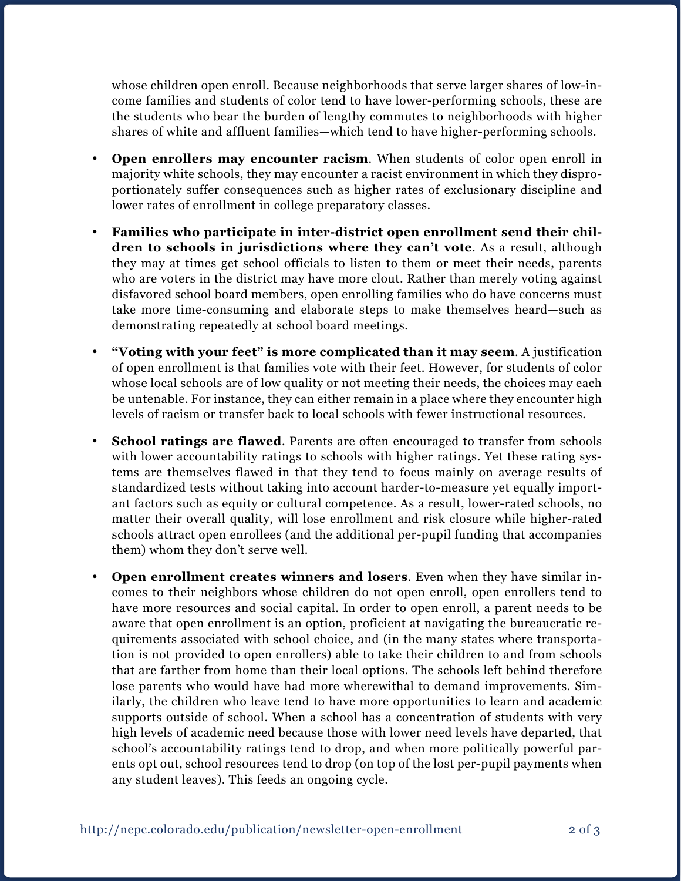whose children open enroll. Because neighborhoods that serve larger shares of low-income families and students of color tend to have lower-performing schools, these are the students who bear the burden of lengthy commutes to neighborhoods with higher shares of white and affluent families—which tend to have higher-performing schools.

- • **Open enrollers may encounter racism**. When students of color open enroll in majority white schools, they may encounter a racist environment in which they disproportionately suffer consequences such as higher rates of exclusionary discipline and lower rates of enrollment in college preparatory classes.
- • **Families who participate in inter-district open enrollment send their children to schools in jurisdictions where they can't vote**. As a result, although they may at times get school officials to listen to them or meet their needs, parents who are voters in the district may have more clout. Rather than merely voting against disfavored school board members, open enrolling families who do have concerns must take more time-consuming and elaborate steps to make themselves heard—such as demonstrating repeatedly at school board meetings.
- • **"Voting with your feet" is more complicated than it may seem**. A justification of open enrollment is that families vote with their feet. However, for students of color whose local schools are of low quality or not meeting their needs, the choices may each be untenable. For instance, they can either remain in a place where they encounter high levels of racism or transfer back to local schools with fewer instructional resources.
- **School ratings are flawed.** Parents are often encouraged to transfer from schools with lower accountability ratings to schools with higher ratings. Yet these rating systems are themselves flawed in that they tend to focus mainly on average results of standardized tests without taking into account harder-to-measure yet equally important factors such as equity or cultural competence. As a result, lower-rated schools, no matter their overall quality, will lose enrollment and risk closure while higher-rated schools attract open enrollees (and the additional per-pupil funding that accompanies them) whom they don't serve well.
- • **Open enrollment creates winners and losers**. Even when they have similar incomes to their neighbors whose children do not open enroll, open enrollers tend to have more resources and social capital. In order to open enroll, a parent needs to be aware that open enrollment is an option, proficient at navigating the bureaucratic requirements associated with school choice, and (in the many states where transportation is not provided to open enrollers) able to take their children to and from schools that are farther from home than their local options. The schools left behind therefore lose parents who would have had more wherewithal to demand improvements. Similarly, the children who leave tend to have more opportunities to learn and academic supports outside of school. When a school has a concentration of students with very high levels of academic need because those with lower need levels have departed, that school's accountability ratings tend to drop, and when more politically powerful parents opt out, school resources tend to drop (on top of the lost per-pupil payments when any student leaves). This feeds an ongoing cycle.